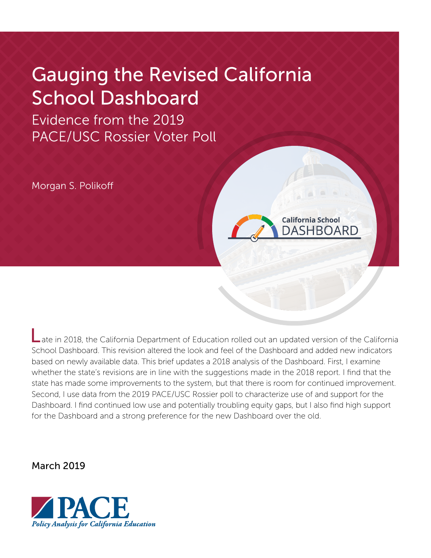# Gauging the Revised California School Dashboard

Evidence from the 2019 PACE/USC Rossier Voter Poll

Morgan S. Polikoff



**California School** DASHBOARD

March 2019

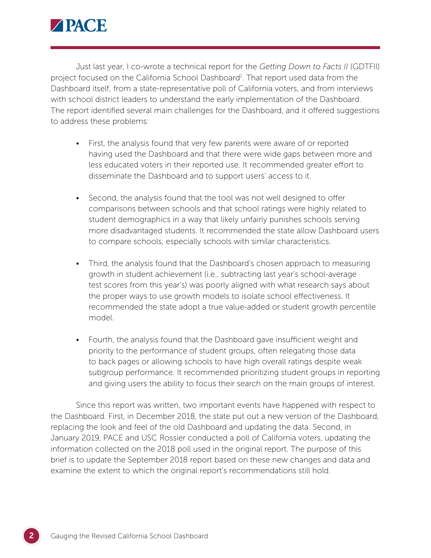

Just last year, I co-wrote a technical report for the *Getting Down to Facts II* (GDTFII) project focused on the California School Dashboard<sup>1</sup>. That report used data from the Dashboard itself, from a state-representative poll of California voters, and from interviews with school district leaders to understand the early implementation of the Dashboard. The report identified several main challenges for the Dashboard, and it offered suggestions to address these problems:

- First, the analysis found that very few parents were aware of or reported having used the Dashboard and that there were wide gaps between more and less educated voters in their reported use. It recommended greater effort to disseminate the Dashboard and to support users' access to it.
- Second, the analysis found that the tool was not well designed to offer comparisons between schools and that school ratings were highly related to student demographics in a way that likely unfairly punishes schools serving more disadvantaged students. It recommended the state allow Dashboard users to compare schools, especially schools with similar characteristics.
- Third, the analysis found that the Dashboard's chosen approach to measuring growth in student achievement (i.e., subtracting last year's school-average test scores from this year's) was poorly aligned with what research says about the proper ways to use growth models to isolate school effectiveness. It recommended the state adopt a true value-added or student growth percentile model.
- Fourth, the analysis found that the Dashboard gave insufficient weight and priority to the performance of student groups, often relegating those data to back pages or allowing schools to have high overall ratings despite weak subgroup performance. It recommended prioritizing student groups in reporting and giving users the ability to focus their search on the main groups of interest.

Since this report was written, two important events have happened with respect to the Dashboard. First, in December 2018, the state put out a new version of the Dashboard, replacing the look and feel of the old Dashboard and updating the data. Second, in January 2019, PACE and USC Rossier conducted a poll of California voters, updating the information collected on the 2018 poll used in the original report. The purpose of this brief is to update the September 2018 report based on these new changes and data and examine the extent to which the original report's recommendations still hold.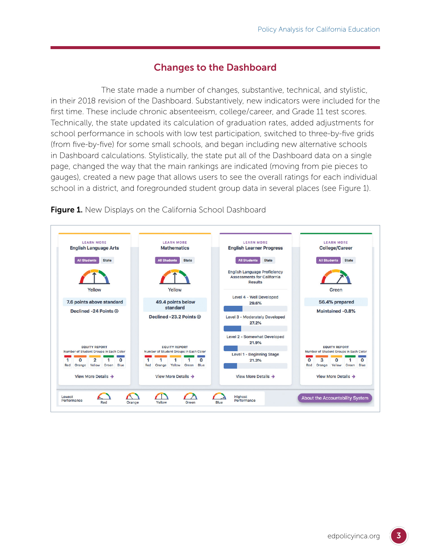## Changes to the Dashboard

The state made a number of changes, substantive, technical, and stylistic, in their 2018 revision of the Dashboard. Substantively, new indicators were included for the first time. These include chronic absenteeism, college/career, and Grade 11 test scores. Technically, the state updated its calculation of graduation rates, added adjustments for school performance in schools with low test participation, switched to three-by-five grids (from five-by-five) for some small schools, and began including new alternative schools in Dashboard calculations. Stylistically, the state put all of the Dashboard data on a single page, changed the way that the main rankings are indicated (moving from pie pieces to gauges), created a new page that allows users to see the overall ratings for each individual school in a district, and foregrounded student group data in several places (see Figure 1).



Figure 1. New Displays on the California School Dashboard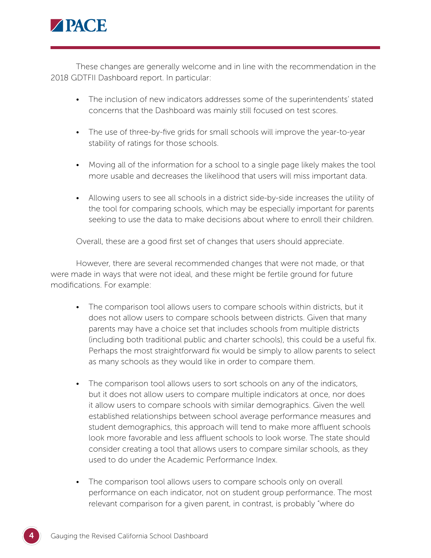

These changes are generally welcome and in line with the recommendation in the 2018 GDTFII Dashboard report. In particular:

- The inclusion of new indicators addresses some of the superintendents' stated concerns that the Dashboard was mainly still focused on test scores.
- The use of three-by-five grids for small schools will improve the year-to-year stability of ratings for those schools.
- Moving all of the information for a school to a single page likely makes the tool more usable and decreases the likelihood that users will miss important data.
- Allowing users to see all schools in a district side-by-side increases the utility of the tool for comparing schools, which may be especially important for parents seeking to use the data to make decisions about where to enroll their children.

Overall, these are a good first set of changes that users should appreciate.

However, there are several recommended changes that were not made, or that were made in ways that were not ideal, and these might be fertile ground for future modifications. For example:

- The comparison tool allows users to compare schools within districts, but it does not allow users to compare schools between districts. Given that many parents may have a choice set that includes schools from multiple districts (including both traditional public and charter schools), this could be a useful fix. Perhaps the most straightforward fix would be simply to allow parents to select as many schools as they would like in order to compare them.
- The comparison tool allows users to sort schools on any of the indicators, but it does not allow users to compare multiple indicators at once, nor does it allow users to compare schools with similar demographics. Given the well established relationships between school average performance measures and student demographics, this approach will tend to make more affluent schools look more favorable and less affluent schools to look worse. The state should consider creating a tool that allows users to compare similar schools, as they used to do under the Academic Performance Index.
- The comparison tool allows users to compare schools only on overall performance on each indicator, not on student group performance. The most relevant comparison for a given parent, in contrast, is probably "where do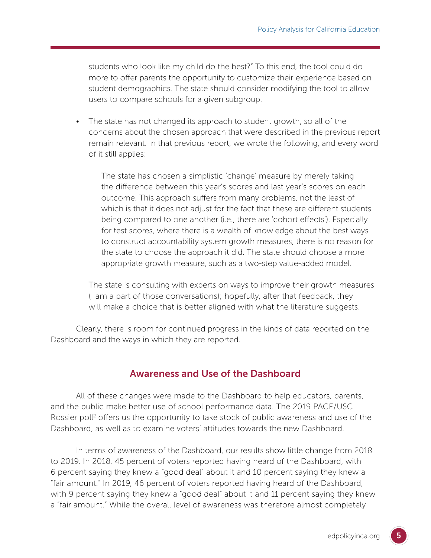students who look like my child do the best?" To this end, the tool could do more to offer parents the opportunity to customize their experience based on student demographics. The state should consider modifying the tool to allow users to compare schools for a given subgroup.

• The state has not changed its approach to student growth, so all of the concerns about the chosen approach that were described in the previous report remain relevant. In that previous report, we wrote the following, and every word of it still applies:

The state has chosen a simplistic 'change' measure by merely taking the difference between this year's scores and last year's scores on each outcome. This approach suffers from many problems, not the least of which is that it does not adjust for the fact that these are different students being compared to one another (i.e., there are 'cohort effects'). Especially for test scores, where there is a wealth of knowledge about the best ways to construct accountability system growth measures, there is no reason for the state to choose the approach it did. The state should choose a more appropriate growth measure, such as a two-step value-added model.

The state is consulting with experts on ways to improve their growth measures (I am a part of those conversations); hopefully, after that feedback, they will make a choice that is better aligned with what the literature suggests.

Clearly, there is room for continued progress in the kinds of data reported on the Dashboard and the ways in which they are reported.

#### Awareness and Use of the Dashboard

All of these changes were made to the Dashboard to help educators, parents, and the public make better use of school performance data. The 2019 PACE/USC Rossier poll<sup>2</sup> offers us the opportunity to take stock of public awareness and use of the Dashboard, as well as to examine voters' attitudes towards the new Dashboard.

In terms of awareness of the Dashboard, our results show little change from 2018 to 2019. In 2018, 45 percent of voters reported having heard of the Dashboard, with 6 percent saying they knew a "good deal" about it and 10 percent saying they knew a "fair amount." In 2019, 46 percent of voters reported having heard of the Dashboard, with 9 percent saying they knew a "good deal" about it and 11 percent saying they knew a "fair amount." While the overall level of awareness was therefore almost completely

5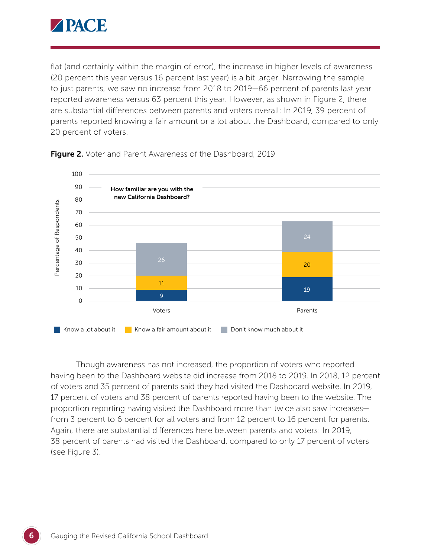

flat (and certainly within the margin of error), the increase in higher levels of awareness (20 percent this year versus 16 percent last year) is a bit larger. Narrowing the sample to just parents, we saw no increase from 2018 to 2019—66 percent of parents last year reported awareness versus 63 percent this year. However, as shown in Figure 2, there are substantial differences between parents and voters overall: In 2019, 39 percent of parents reported knowing a fair amount or a lot about the Dashboard, compared to only 20 percent of voters.



**Figure 2.** Voter and Parent Awareness of the Dashboard, 2019

Though awareness has not increased, the proportion of voters who reported having been to the Dashboard website did increase from 2018 to 2019. In 2018, 12 percent of voters and 35 percent of parents said they had visited the Dashboard website. In 2019, 17 percent of voters and 38 percent of parents reported having been to the website. The proportion reporting having visited the Dashboard more than twice also saw increases from 3 percent to 6 percent for all voters and from 12 percent to 16 percent for parents. Again, there are substantial differences here between parents and voters: In 2019, 38 percent of parents had visited the Dashboard, compared to only 17 percent of voters (see Figure 3).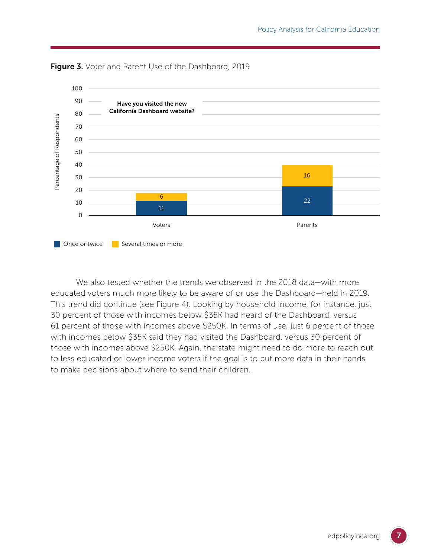



We also tested whether the trends we observed in the 2018 data—with more educated voters much more likely to be aware of or use the Dashboard—held in 2019. This trend did continue (see Figure 4). Looking by household income, for instance, just 30 percent of those with incomes below \$35K had heard of the Dashboard, versus 61 percent of those with incomes above \$250K. In terms of use, just 6 percent of those with incomes below \$35K said they had visited the Dashboard, versus 30 percent of those with incomes above \$250K. Again, the state might need to do more to reach out to less educated or lower income voters if the goal is to put more data in their hands to make decisions about where to send their children.

7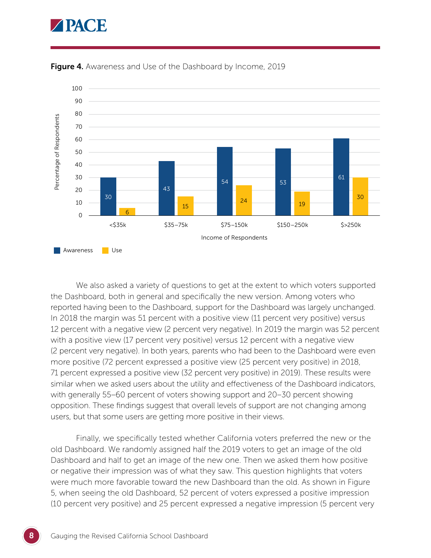# **APACE**



Figure 4. Awareness and Use of the Dashboard by Income, 2019

We also asked a variety of questions to get at the extent to which voters supported the Dashboard, both in general and specifically the new version. Among voters who reported having been to the Dashboard, support for the Dashboard was largely unchanged. In 2018 the margin was 51 percent with a positive view (11 percent very positive) versus 12 percent with a negative view (2 percent very negative). In 2019 the margin was 52 percent with a positive view (17 percent very positive) versus 12 percent with a negative view (2 percent very negative). In both years, parents who had been to the Dashboard were even more positive (72 percent expressed a positive view (25 percent very positive) in 2018, 71 percent expressed a positive view (32 percent very positive) in 2019). These results were similar when we asked users about the utility and effectiveness of the Dashboard indicators, with generally 55–60 percent of voters showing support and 20–30 percent showing opposition. These findings suggest that overall levels of support are not changing among users, but that some users are getting more positive in their views.

Finally, we specifically tested whether California voters preferred the new or the old Dashboard. We randomly assigned half the 2019 voters to get an image of the old Dashboard and half to get an image of the new one. Then we asked them how positive or negative their impression was of what they saw. This question highlights that voters were much more favorable toward the new Dashboard than the old. As shown in Figure 5, when seeing the old Dashboard, 52 percent of voters expressed a positive impression (10 percent very positive) and 25 percent expressed a negative impression (5 percent very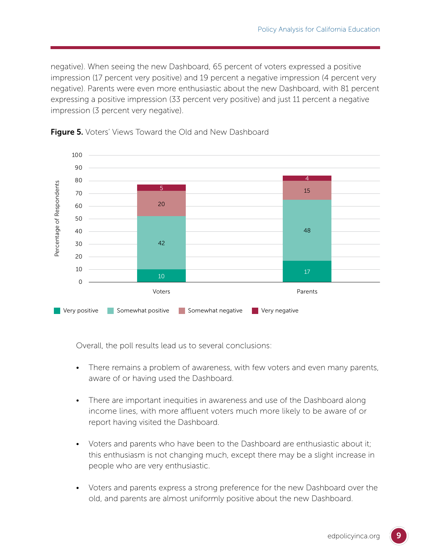negative). When seeing the new Dashboard, 65 percent of voters expressed a positive impression (17 percent very positive) and 19 percent a negative impression (4 percent very negative). Parents were even more enthusiastic about the new Dashboard, with 81 percent expressing a positive impression (33 percent very positive) and just 11 percent a negative impression (3 percent very negative).





Overall, the poll results lead us to several conclusions:

- There remains a problem of awareness, with few voters and even many parents, aware of or having used the Dashboard.
- There are important inequities in awareness and use of the Dashboard along income lines, with more affluent voters much more likely to be aware of or report having visited the Dashboard.
- Voters and parents who have been to the Dashboard are enthusiastic about it; this enthusiasm is not changing much, except there may be a slight increase in people who are very enthusiastic.
- Voters and parents express a strong preference for the new Dashboard over the old, and parents are almost uniformly positive about the new Dashboard.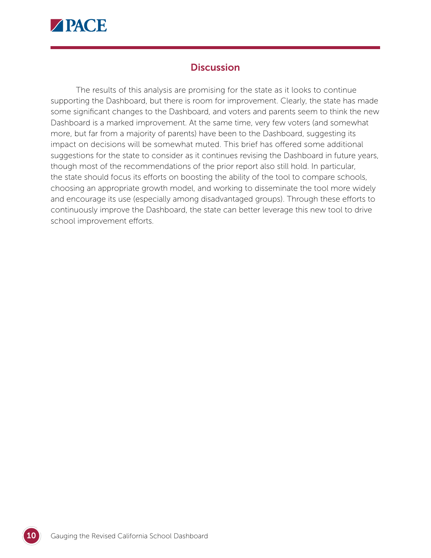

# **Discussion**

The results of this analysis are promising for the state as it looks to continue supporting the Dashboard, but there is room for improvement. Clearly, the state has made some significant changes to the Dashboard, and voters and parents seem to think the new Dashboard is a marked improvement. At the same time, very few voters (and somewhat more, but far from a majority of parents) have been to the Dashboard, suggesting its impact on decisions will be somewhat muted. This brief has offered some additional suggestions for the state to consider as it continues revising the Dashboard in future years, though most of the recommendations of the prior report also still hold. In particular, the state should focus its efforts on boosting the ability of the tool to compare schools, choosing an appropriate growth model, and working to disseminate the tool more widely and encourage its use (especially among disadvantaged groups). Through these efforts to continuously improve the Dashboard, the state can better leverage this new tool to drive school improvement efforts.

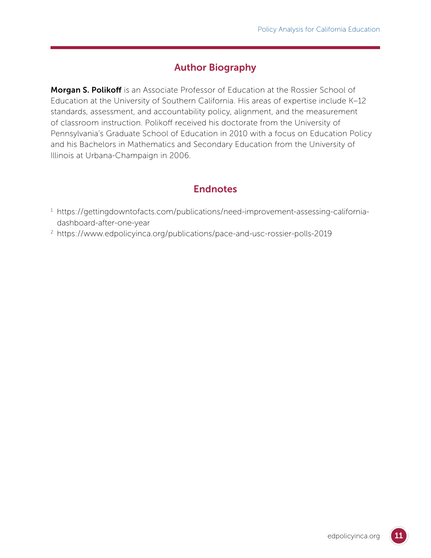# Author Biography

**Morgan S. Polikoff** is an Associate Professor of Education at the Rossier School of Education at the University of Southern California. His areas of expertise include K–12 standards, assessment, and accountability policy, alignment, and the measurement of classroom instruction. Polikoff received his doctorate from the University of Pennsylvania's Graduate School of Education in 2010 with a focus on Education Policy and his Bachelors in Mathematics and Secondary Education from the University of Illinois at Urbana-Champaign in 2006.

# **Endnotes**

- <sup>1</sup> [https://gettingdowntofacts.com/publications/need-improvement-assessing-california](https://gettingdowntofacts.com/publications/need-improvement-assessing-california-dashboard-after-one-year)[dashboard-after-one-year](https://gettingdowntofacts.com/publications/need-improvement-assessing-california-dashboard-after-one-year)
- <sup>2</sup> <https://www.edpolicyinca.org/publications/pace-and-usc-rossier-polls-2019>

11